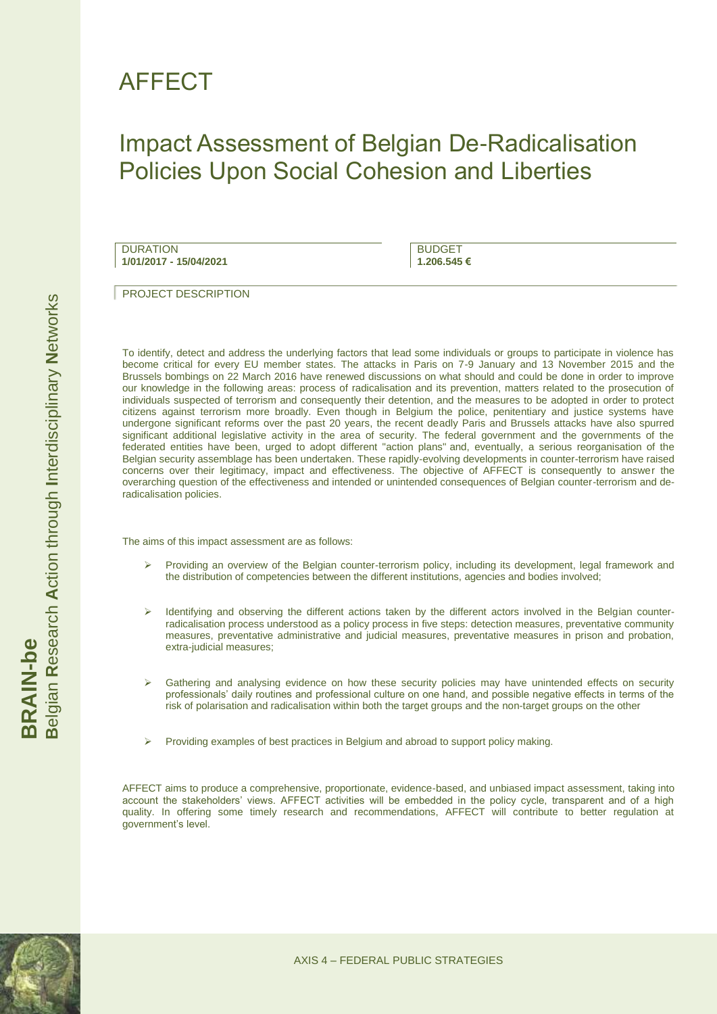## AFFECT

## Impact Assessment of Belgian De-Radicalisation Policies Upon Social Cohesion and Liberties

DURATION **1/01/2017 - 15/04/2021**

**BUDGET 1.206.545 €**

PROJECT DESCRIPTION

To identify, detect and address the underlying factors that lead some individuals or groups to participate in violence has become critical for every EU member states. The attacks in Paris on 7-9 January and 13 November 2015 and the Brussels bombings on 22 March 2016 have renewed discussions on what should and could be done in order to improve our knowledge in the following areas: process of radicalisation and its prevention, matters related to the prosecution of individuals suspected of terrorism and consequently their detention, and the measures to be adopted in order to protect citizens against terrorism more broadly. Even though in Belgium the police, penitentiary and justice systems have undergone significant reforms over the past 20 years, the recent deadly Paris and Brussels attacks have also spurred significant additional legislative activity in the area of security. The federal government and the governments of the federated entities have been, urged to adopt different "action plans" and, eventually, a serious reorganisation of the Belgian security assemblage has been undertaken. These rapidly-evolving developments in counter-terrorism have raised concerns over their legitimacy, impact and effectiveness. The objective of AFFECT is consequently to answer the overarching question of the effectiveness and intended or unintended consequences of Belgian counter-terrorism and deradicalisation policies.

The aims of this impact assessment are as follows:

- Providing an overview of the Belgian counter-terrorism policy, including its development, legal framework and the distribution of competencies between the different institutions, agencies and bodies involved;
- Identifying and observing the different actions taken by the different actors involved in the Belgian counterradicalisation process understood as a policy process in five steps: detection measures, preventative community measures, preventative administrative and judicial measures, preventative measures in prison and probation, extra-judicial measures;
- Gathering and analysing evidence on how these security policies may have unintended effects on security professionals' daily routines and professional culture on one hand, and possible negative effects in terms of the risk of polarisation and radicalisation within both the target groups and the non-target groups on the other
- Providing examples of best practices in Belgium and abroad to support policy making.

AFFECT aims to produce a comprehensive, proportionate, evidence-based, and unbiased impact assessment, taking into account the stakeholders' views. AFFECT activities will be embedded in the policy cycle, transparent and of a high quality. In offering some timely research and recommendations, AFFECT will contribute to better regulation at government's level.